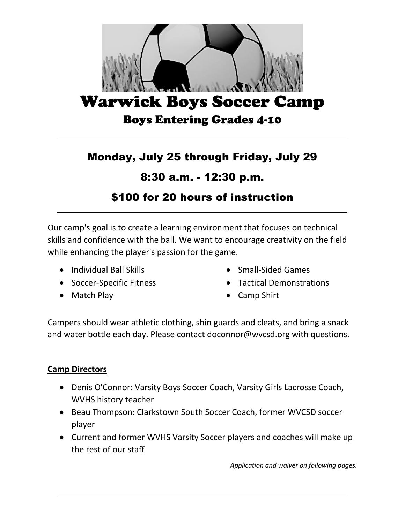

# Monday, July 25 through Friday, July 29

### 8:30 a.m. - 12:30 p.m.

## \$100 for 20 hours of instruction

Our camp's goal is to create a learning environment that focuses on technical skills and confidence with the ball. We want to encourage creativity on the field while enhancing the player's passion for the game.

- Individual Ball Skills
- Soccer-Specific Fitness
- Match Play
- Small-Sided Games
- Tactical Demonstrations
- Camp Shirt

Campers should wear athletic clothing, shin guards and cleats, and bring a snack and water bottle each day. Please contact doconnor@wvcsd.org with questions.

#### **Camp Directors**

- Denis O'Connor: Varsity Boys Soccer Coach, Varsity Girls Lacrosse Coach, WVHS history teacher
- Beau Thompson: Clarkstown South Soccer Coach, former WVCSD soccer player
- Current and former WVHS Varsity Soccer players and coaches will make up the rest of our staff

*Application and waiver on following pages.*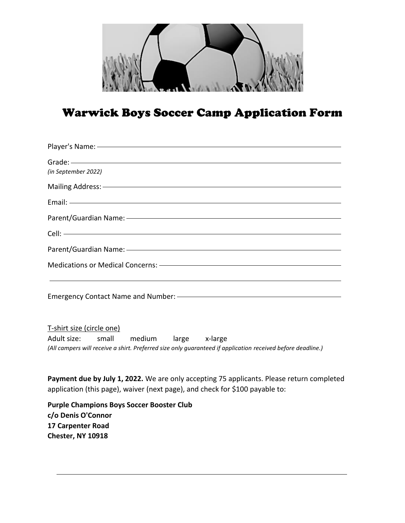

# Warwick Boys Soccer Camp Application Form

| Player's Name: - Cambridge Commission Commission Commission Commission Commission                                                                                                                                                   |
|-------------------------------------------------------------------------------------------------------------------------------------------------------------------------------------------------------------------------------------|
| Grade: - Canadian Communication of the Communication of the Communication of the Communication of the Communication of the Communication of the Communication of the Communication of the Communication of the Communication o      |
| (in September 2022)                                                                                                                                                                                                                 |
| Mailing Address: <u>- Address:</u> - Address: 2007 National Contract of Contract of Contract of Contract of Contract of Contract of Contract of Contract of Contract of Contract of Contract of Contract of Contract of Contract of |
|                                                                                                                                                                                                                                     |
| Parent/Guardian Name: - The Context of the Context of the Context of the Context of the Context of the Context of the Context of the Context of the Context of the Context of the Context of the Context of the Context of the      |
| Cell: <u>Celling and the contract of the contract of the contract of the contract of the contract of the contract of</u>                                                                                                            |
| Parent/Guardian Name: - The Context of the Context of the Context of the Context of the Context of the Context of the Context of the Context of the Context of the Context of the Context of the Context of the Context of the      |
| Medications or Medical Concerns: - The Constantine Concernsion of Medications or Medical Concerns: - The Constantine Concernsion of Medical Concerns: - The Constantine Concernsion of Medical Concernsion of Medical Concerns      |
|                                                                                                                                                                                                                                     |
| T-shirt size (circle one)<br>Adult size:<br>small<br>medium large x-large<br>(All campers will receive a shirt. Preferred size only guaranteed if application received before deadline.)                                            |
| Payment due by July 1, 2022. We are only accepting 75 applicants. Please return completed<br>application (this page), waiver (next page), and check for \$100 payable to:                                                           |
| <b>Purple Champions Boys Soccer Booster Club</b><br>c/o Denis O'Connor<br>17 Carpenter Road<br>Chester, NY 10918                                                                                                                    |